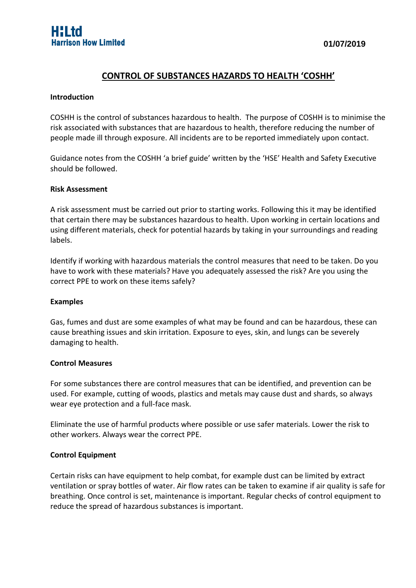# **CONTROL OF SUBSTANCES HAZARDS TO HEALTH 'COSHH'**

#### **Introduction**

COSHH is the control of substances hazardous to health. The purpose of COSHH is to minimise the risk associated with substances that are hazardous to health, therefore reducing the number of people made ill through exposure. All incidents are to be reported immediately upon contact.

Guidance notes from the COSHH 'a brief guide' written by the 'HSE' Health and Safety Executive should be followed.

## **Risk Assessment**

A risk assessment must be carried out prior to starting works. Following this it may be identified that certain there may be substances hazardous to health. Upon working in certain locations and using different materials, check for potential hazards by taking in your surroundings and reading labels.

Identify if working with hazardous materials the control measures that need to be taken. Do you have to work with these materials? Have you adequately assessed the risk? Are you using the correct PPE to work on these items safely?

#### **Examples**

Gas, fumes and dust are some examples of what may be found and can be hazardous, these can cause breathing issues and skin irritation. Exposure to eyes, skin, and lungs can be severely damaging to health.

#### **Control Measures**

For some substances there are control measures that can be identified, and prevention can be used. For example, cutting of woods, plastics and metals may cause dust and shards, so always wear eye protection and a full-face mask.

Eliminate the use of harmful products where possible or use safer materials. Lower the risk to other workers. Always wear the correct PPE.

## **Control Equipment**

Certain risks can have equipment to help combat, for example dust can be limited by extract ventilation or spray bottles of water. Air flow rates can be taken to examine if air quality is safe for breathing. Once control is set, maintenance is important. Regular checks of control equipment to reduce the spread of hazardous substances is important.